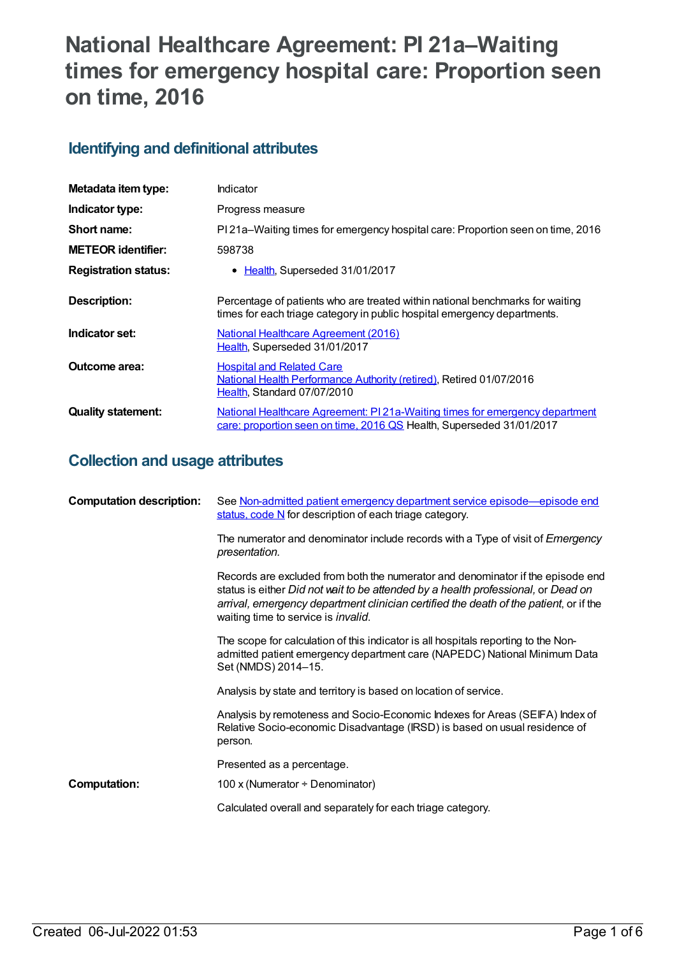# **National Healthcare Agreement: PI 21a–Waiting times for emergency hospital care: Proportion seen on time, 2016**

# **Identifying and definitional attributes**

| Metadata item type:         | Indicator                                                                                                                                                 |
|-----------------------------|-----------------------------------------------------------------------------------------------------------------------------------------------------------|
| Indicator type:             | Progress measure                                                                                                                                          |
| Short name:                 | PI 21a–Waiting times for emergency hospital care: Proportion seen on time, 2016                                                                           |
| <b>METEOR identifier:</b>   | 598738                                                                                                                                                    |
| <b>Registration status:</b> | • Health, Superseded 31/01/2017                                                                                                                           |
| Description:                | Percentage of patients who are treated within national benchmarks for waiting<br>times for each triage category in public hospital emergency departments. |
| Indicator set:              | <b>National Healthcare Agreement (2016)</b><br>Health, Superseded 31/01/2017                                                                              |
| Outcome area:               | <b>Hospital and Related Care</b><br>National Health Performance Authority (retired), Retired 01/07/2016<br>Health, Standard 07/07/2010                    |
| <b>Quality statement:</b>   | National Healthcare Agreement: PI21a-Waiting times for emergency department<br>care: proportion seen on time, 2016 QS Health, Superseded 31/01/2017       |

# **Collection and usage attributes**

| <b>Computation description:</b> | See Non-admitted patient emergency department service episode—episode end<br>status, code N for description of each triage category.                                                                                                                                                                         |
|---------------------------------|--------------------------------------------------------------------------------------------------------------------------------------------------------------------------------------------------------------------------------------------------------------------------------------------------------------|
|                                 | The numerator and denominator include records with a Type of visit of <i>Emergency</i><br>presentation.                                                                                                                                                                                                      |
|                                 | Records are excluded from both the numerator and denominator if the episode end<br>status is either Did not wait to be attended by a health professional, or Dead on<br>arrival, emergency department clinician certified the death of the patient, or if the<br>waiting time to service is <i>invalid</i> . |
|                                 | The scope for calculation of this indicator is all hospitals reporting to the Non-<br>admitted patient emergency department care (NAPEDC) National Minimum Data<br>Set (NMDS) 2014-15.                                                                                                                       |
|                                 | Analysis by state and territory is based on location of service.                                                                                                                                                                                                                                             |
|                                 | Analysis by remoteness and Socio-Economic Indexes for Areas (SEIFA) Index of<br>Relative Socio-economic Disadvantage (IRSD) is based on usual residence of<br>person.                                                                                                                                        |
|                                 | Presented as a percentage.                                                                                                                                                                                                                                                                                   |
| <b>Computation:</b>             | 100 x (Numerator ÷ Denominator)                                                                                                                                                                                                                                                                              |
|                                 | Calculated overall and separately for each triage category.                                                                                                                                                                                                                                                  |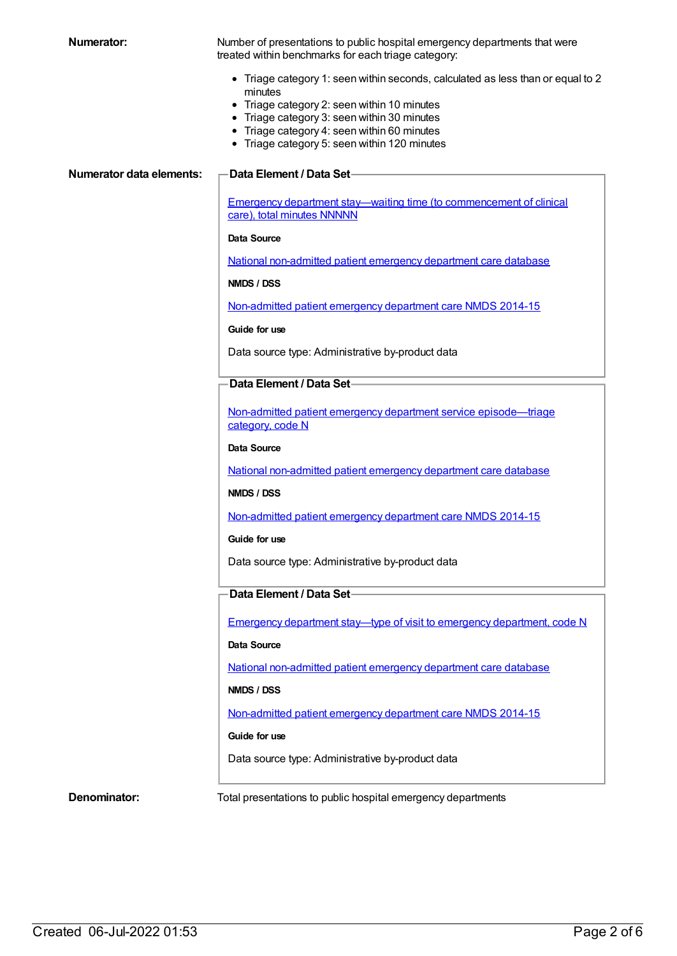**Numerator:** Number of presentations to public hospital emergency departments that were treated within benchmarks for each triage category:

- Triage category 1: seen within seconds, calculated as less than or equal to 2 minutes
- Triage category 2: seen within 10 minutes
- Triage category 3: seen within 30 minutes
- Triage category 4: seen within 60 minutes
- Triage category 5: seen within 120 minutes

#### **Numerator data elements: Data Element / Data Set**

Emergency department stay—waiting time (to [commencement](https://meteor.aihw.gov.au/content/471932) of clinical care), total minutes NNNNN

#### **Data Source**

National [non-admitted](https://meteor.aihw.gov.au/content/635463) patient emergency department care database

**NMDS / DSS**

[Non-admitted](https://meteor.aihw.gov.au/content/566909) patient emergency department care NMDS 2014-15

**Guide for use**

Data source type: Administrative by-product data

#### **Data Element / Data Set**

Non-admitted patient emergency department service [episode—triage](https://meteor.aihw.gov.au/content/474185) category, code N

#### **Data Source**

National [non-admitted](https://meteor.aihw.gov.au/content/635463) patient emergency department care database

#### **NMDS / DSS**

[Non-admitted](https://meteor.aihw.gov.au/content/566909) patient emergency department care NMDS 2014-15

#### **Guide for use**

Data source type: Administrative by-product data

### **Data Element / Data Set**

Emergency department stay—type of visit to emergency [department,](https://meteor.aihw.gov.au/content/495958) code N

#### **Data Source**

National [non-admitted](https://meteor.aihw.gov.au/content/635463) patient emergency department care database

#### **NMDS / DSS**

[Non-admitted](https://meteor.aihw.gov.au/content/566909) patient emergency department care NMDS 2014-15

#### **Guide for use**

Data source type: Administrative by-product data

**Denominator:** Total presentations to public hospital emergency departments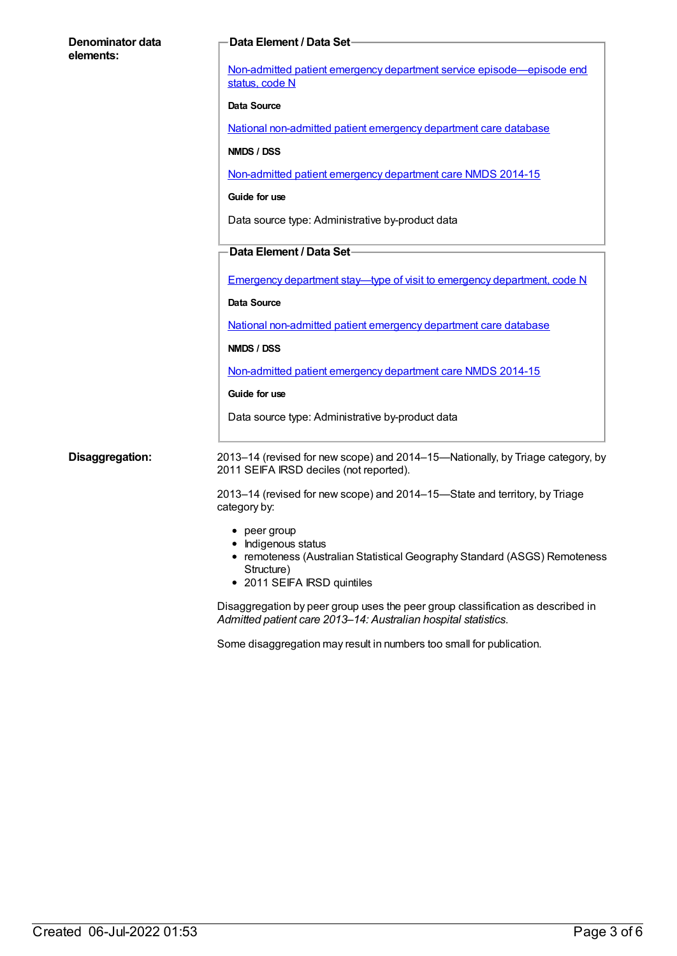| Denominator data<br>elements: | <b>Data Element / Data Set-</b>                                                                                                                                       |
|-------------------------------|-----------------------------------------------------------------------------------------------------------------------------------------------------------------------|
|                               | Non-admitted patient emergency department service episode—episode end<br>status, code N                                                                               |
|                               | Data Source                                                                                                                                                           |
|                               | National non-admitted patient emergency department care database                                                                                                      |
|                               | NMDS / DSS                                                                                                                                                            |
|                               | Non-admitted patient emergency department care NMDS 2014-15                                                                                                           |
|                               | Guide for use                                                                                                                                                         |
|                               | Data source type: Administrative by-product data                                                                                                                      |
|                               | Data Element / Data Set                                                                                                                                               |
|                               | <b>Emergency department stay—type of visit to emergency department, code N</b>                                                                                        |
|                               | Data Source                                                                                                                                                           |
|                               | National non-admitted patient emergency department care database                                                                                                      |
|                               | NMDS / DSS                                                                                                                                                            |
|                               | Non-admitted patient emergency department care NMDS 2014-15                                                                                                           |
|                               | Guide for use                                                                                                                                                         |
|                               | Data source type: Administrative by-product data                                                                                                                      |
| Disaggregation:               | 2013-14 (revised for new scope) and 2014-15-Nationally, by Triage category, by<br>2011 SEIFA IRSD deciles (not reported).                                             |
|                               | 2013–14 (revised for new scope) and 2014–15–State and territory, by Triage<br>category by:                                                                            |
|                               | $\bullet$ peer group<br>• Indigenous status<br>• remoteness (Australian Statistical Geography Standard (ASGS) Remoteness<br>Structure)<br>• 2011 SEIFA IRSD quintiles |
|                               | Disaggregation by peer group uses the peer group classification as described in<br>Admitted patient care 2013-14: Australian hospital statistics.                     |

Some disaggregation may result in numbers too small for publication.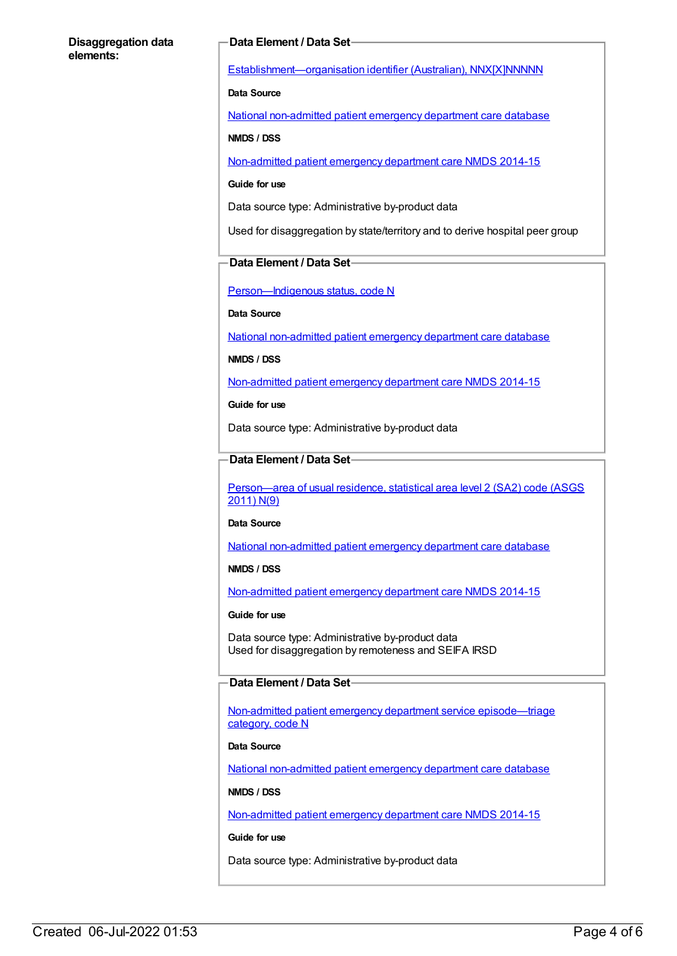#### **Disaggregation data elements:**

#### **Data Element / Data Set**

[Establishment—organisation](https://meteor.aihw.gov.au/content/269973) identifier (Australian), NNX[X]NNNNN

**Data Source**

National [non-admitted](https://meteor.aihw.gov.au/content/635463) patient emergency department care database

**NMDS / DSS**

[Non-admitted](https://meteor.aihw.gov.au/content/566909) patient emergency department care NMDS 2014-15

#### **Guide for use**

Data source type: Administrative by-product data

Used for disaggregation by state/territory and to derive hospital peer group

#### **Data Element / Data Set**

[Person—Indigenous](https://meteor.aihw.gov.au/content/291036) status, code N

**Data Source**

National [non-admitted](https://meteor.aihw.gov.au/content/635463) patient emergency department care database

**NMDS / DSS**

[Non-admitted](https://meteor.aihw.gov.au/content/566909) patient emergency department care NMDS 2014-15

**Guide for use**

Data source type: Administrative by-product data

#### **Data Element / Data Set**

[Person—area](https://meteor.aihw.gov.au/content/469909) of usual residence, statistical area level 2 (SA2) code (ASGS 2011) N(9)

#### **Data Source**

National [non-admitted](https://meteor.aihw.gov.au/content/635463) patient emergency department care database

#### **NMDS / DSS**

[Non-admitted](https://meteor.aihw.gov.au/content/566909) patient emergency department care NMDS 2014-15

**Guide for use**

Data source type: Administrative by-product data Used for disaggregation by remoteness and SEIFA IRSD

#### **Data Element / Data Set**

Non-admitted patient emergency department service [episode—triage](https://meteor.aihw.gov.au/content/474185) category, code N

#### **Data Source**

National [non-admitted](https://meteor.aihw.gov.au/content/635463) patient emergency department care database

**NMDS / DSS**

[Non-admitted](https://meteor.aihw.gov.au/content/566909) patient emergency department care NMDS 2014-15

#### **Guide for use**

Data source type: Administrative by-product data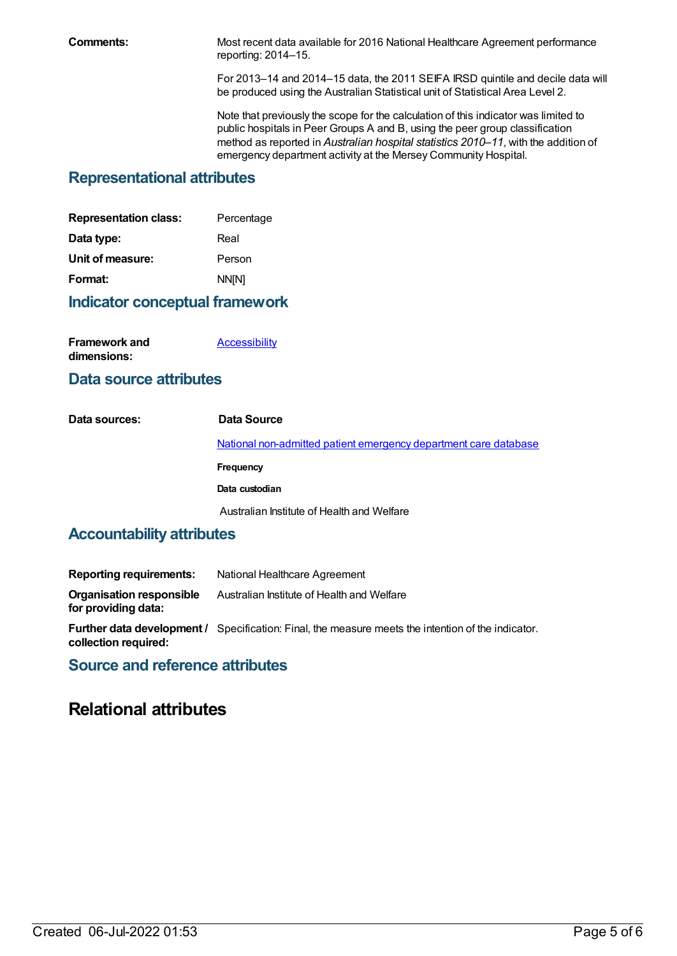**Comments:** Most recent data available for 2016 National Healthcare Agreement performance reporting: 2014–15.

> For 2013–14 and 2014–15 data, the 2011 SEIFA IRSD quintile and decile data will be produced using the Australian Statistical unit of Statistical Area Level 2.

Note that previously the scope for the calculation of this indicator was limited to public hospitals in Peer Groups A and B, using the peer group classification method as reported in *Australian hospital statistics 2010–11*, with the addition of emergency department activity at the Mersey Community Hospital.

# **Representational attributes**

| <b>Representation class:</b> | Percentage |
|------------------------------|------------|
| Data type:                   | Real       |
| Unit of measure:             | Person     |
| Format:                      | NN[N]      |
|                              |            |

## **Indicator conceptual framework**

| <b>Framework and</b> | Accessibility |
|----------------------|---------------|
| dimensions:          |               |

## **Data source attributes**

| Data sources: | Data Source                                                      |
|---------------|------------------------------------------------------------------|
|               | National non-admitted patient emergency department care database |
|               | Frequency                                                        |
|               | Data custodian                                                   |
|               | Australian Institute of Health and Welfare                       |
|               |                                                                  |

# **Accountability attributes**

| Reporting requirements:                                | National Healthcare Agreement                                                                 |
|--------------------------------------------------------|-----------------------------------------------------------------------------------------------|
| <b>Organisation responsible</b><br>for providing data: | Australian Institute of Health and Welfare                                                    |
|                                                        | <b>Eurther data development / Specification: Einal the measure meets the intention of the</b> |

**Further data development /** Specification: Final, the measure meets the intention of the indicator. **collection required:**

# **Source and reference attributes**

# **Relational attributes**